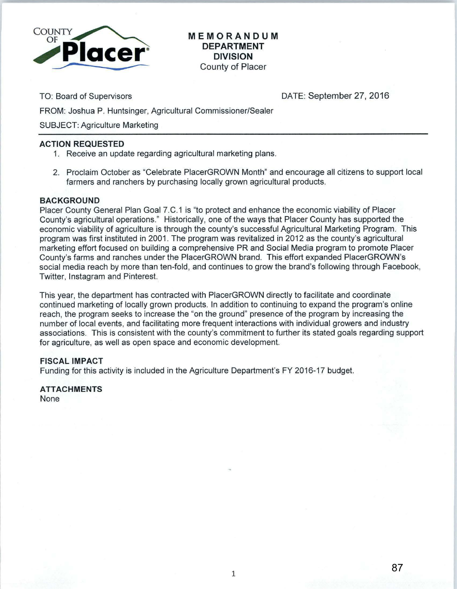

**MEMORANDUM DEPARTMENT DIVISION**  County of Placer

TO: Board of Supervisors

DATE: September 27, 2016

FROM: Joshua P. Huntsinger, Agricultural Commissioner/Sealer

SUBJECT: Agriculture Marketing

## **ACTION REQUESTED**

- 1. Receive an update regarding agricultural marketing plans.
- 2. Proclaim October as "Celebrate PlacerGROWN Month" and encourage all citizens to support local farmers and ranchers by purchasing locally grown agricultural products.

## **BACKGROUND**

Placer County General Plan Goal 7.C.1 is "to protect and enhance the economic viability of Placer County's agricultural operations." Historically, one of the ways that Placer County has supported the economic viability of agriculture is through the county's successful Agricultural Marketing Program. This program was first instituted in 2001. The program was revitalized in 2012 as the county's agricultural marketing effort focused on building a comprehensive PR and Social Media program to promote Placer County's farms and ranches under the PlacerGROWN brand. This effort expanded PlacerGROWN's social media reach by more than ten-fold, and continues to grow the brand's following through Facebook, Twitter, lnstagram and Pinterest.

This year, the department has contracted with PlacerGROWN directly to facilitate and coordinate continued marketing of locally grown products. In addition to continuing to expand the program's online reach, the program seeks to increase the "on the ground" presence of the program by increasing the number of local events, and facilitating more frequent interactions with individual growers and industry associations. This is consistent with the county's commitment to further its stated goals regarding support for agriculture, as well as open space and economic development.

## **FISCAL IMPACT**

Funding for this activity is included in the Agriculture Department's FY 2016-17 budget.

**ATTACHMENTS**  None